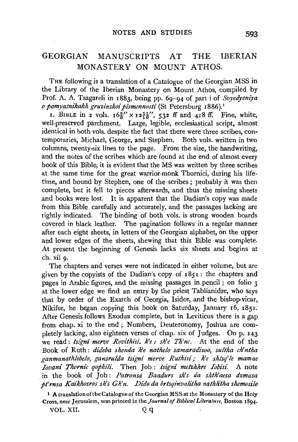# GEORGIAN MANUSCRIPTS AT THE IBERIAN MONASTERY ON MOUNT ATHOS.

THE following is a translation of a Catalogue of the Georgian MSS in the Library of the Iberian Monastery on Mount Athos, compiled by Prof. A. A. Tsagareli in 1883, being pp. 69-94 of part i of *Svyedyeniya o pamyatnikakh gruzz'nskoipz'smennosti* (St Petersburg 1886).1

1. BIBLE in 2 vols.  $16\frac{5}{8}$  x  $12\frac{11}{16}$ , 532 ff and 418 ff. Fine, white, well-preserved parchment. Large, legible, ecclesiastical script, almost identical in both vols. despite the fact that there were three scribes, contemporaries, Michael, George, and Stephen. Both vols. written in two columns, twenty-six lines to the page. From the size, the handwriting, and the notes of the scribes which are found at the end of almost every book of this Bible, it is evident that the MS was written by three scribes at the same time for the great warrior-monk Thornici, during his lifetime, and bound by Stephen, one of the scribes; probably it was then complete, but it fell to pieces afterwards, and thus the missing sheets and books were lost. It is apparent that the Dadian's copy was made from this Bible carefully and accurately, and the passages lacking are rightly indicated. The binding of both vols. is strong wooden boards covered in black leather. The pagination follows in a regular manner after each eight sheets, in letters of the Georgian alphabet, on the upper and lower edges of the sheets, shewing that this Bible was complete. At present the beginning of Genesis lacks six sheets and begins at ch. xii 9·

The chapters and verses were not indicated in either volume, but are given by the copyists of the Dadian's copy of 1851: the chapters and pages in Arabic figures, and the missing passages in pencil ; on folio 3 at the lower edge we find an entry by the priest Tablianidze, who says that by order of the Exarch of Georgia, Isidor, and the bishop-vicar, Nikifor, he began copying this book on Saturday, January 16, 1851. After Genesis follows Exodus complete, but in Leviticus there is a gap from chap. xi to the end; Numbers, Deuteronomy, Joshua are completely lacking, also eighteen verses of chap. xix of Judges. On p. 143 we read: *tsigni merve Rovithisi. k'e: sh'e Th'nc.* At the end of the Book of Ruth: *dideba shenda k'e nathelo samaradisoo, sultha ch'ntha ganmanathlebelo, gansrulda tsigni merve Ruthisi* \_- *k'e shtsq'le mamae Iovani Thornic qophili.* Then Job: *tsigni metzkhre Iobisi.* A note in the book of Job: *Patronsa Baadurs sh's da shth'aesa dzmasa pt'rnsa Kaikhosros slz's Gh'n. Dido da brtsqinvalt'tha nathlt'tha shemosilo* 

VOL. XII. Q q

<sup>1</sup> A translation ofthe Catalogue of the Georgian MSS at the Monastery of the Holy Cross, near Jerusalem, was printed in the *journal of Biblical Literature,* Boston 1894·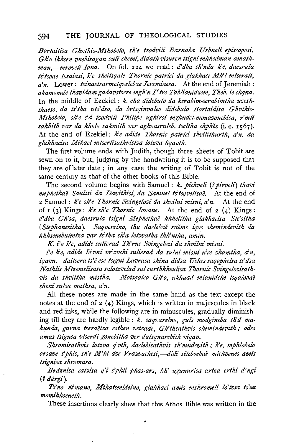#### 594 THE JOURNAL OF THEOLOGICAL STUDIES

Bortaitisa Ghvthis-Mshobelo, sh'e tzodvili Barnaba Urbneli episcoposi. Gh'o ikhsen vnebisagan suli chemi, didath visuren tsigni mkhedman amath*man,-mrove!i Iona.* On fol. 224 we read: *d'dba sh'nda k'e, daesru!a ts'tsbae Esaiasi, k'e sheitsqa!e Thornic patrici da glakhaci Mk'l mtsera!i, a'n.* Lower : *tsinastsarmetqvelebae Ieremiaesa.* At the end of Jeremiah : *akamomde thavidamgadavstsere mgh'n P'tre Tabl£anidzem, Theb. ie chqna.*  In the middle of Ezekiel; k. eha didebulo da kerabim-serabimtha uzeshthaeso, da ts'tha uts'dso, da brtsqinvaleo didebulo Bortaidisa Ghvthis-*Mshobelo, sh'e s'd tzodvi!i Phi!ipe ughirsi mghudel-monazonebisa, r'mli sakhith var da kholo sakmith ver aghvasru!eb. tseltha chphez* (i.e. 1567). At the end of Ezekiel: *k'e adide Thornic patrici shvilithurth*, a'n, da *glakltacisa Mikael mtserlisathvistza lotzva hqavth.* 

The first volume ends with Judith, though three sheets of Tobit are sewn on to it, but, judging by the handwriting it is to be supposed that they are oflater date ; in any case the writing of Tobit is not of the same century as that of the other books of this Bible.

The second volume begins with Samuel : *k. pichveli* (7 *pirveli) thavi mephethae Saulisi da Davithisz: da Samuel ts'tsqve!isae.* At the end of 2 Samuel: *k'e sh'e 7hornic Svingelozi da shvilni mism: a'n.* At the end of  $I (3)$  Kings: *k'e sh'e Thornic Iovane*. At the end of  $2 (4)$  Kings: *d'dba Gh'sa, daesrula tsigni Mephethae khhelitha glakhacisa Ste'sitha (Stephanesitha). Saqverelno, thu daclebae raeme iqos shemindevith da*  khhsenebulmtza var ts'tha sh'a lotzvatha thk'ntha, amin.

*K i'o k'e, adide sulierad Th'rnc Svingelozi da shvilni misni.* 

 $i'$ o·k'e, adide Io'vni vr'zvchi sulierad da sulni misni u'ce zhamtha, a'n, *iqavn. daitsera ts'e ese tsigni Lavrasa shina didsa Ushcs saqophe!sa ts'dsa Nathlis Mtzemelisasa sa!otzvelad sul curthkheuli'sa Thornic Svingelozisathvis da shviltha mistha. Motsqaleo Gh'o, ukhuad mianidche tsqalobae sheni sulsa mathsa, a'n.* 

All these notes are made in the same hand as the text except the notes at the end of 2 (4) Kings, which is written in majuscules in black and red inks, while the following are in minuscules, gradually diminishing till they are hardly legible : *k. saqvarelno, guls modgineba th'd makunda, garna tseraetza esthen vetzade, Gh'thsathvis shemindevith* / *odes amas tsignsa vtserdi gonebitha ver datsqnarebith viqav.* 

*Shromisathvis lotzva q'vth, daclebi'sathvis* sh'mndevith.~ *k'e, mphlobelo orsave s'jhls, sh'e M'kl dze Vrazvachesi,-didi sitcboebae michvenes amis tsignisa shromasa.* 

*Brdznisa catzisa q'i s'jhli phas-ars, kh' ugunurisa artza erthi d'ngi*  (f *dargi).* 

*Ts'no m'mano, Mthatsmidelno, glakhaci ami's mshromeli lo'tzsa ts'sa momikhseneth.* 

These insertions clearly shew that this Athos Bible was written in the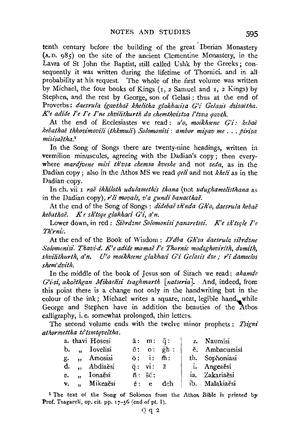tenth century before the building of the great ' Iberian Monastery .(A.D. 985) on the site of the ancient Clementine Monastery, in the Lavra of St John the Baptist, still called Ushk by the Greeks; consequently it was written during the lifetime of Thomici, and in all probability at his request. The whole of the first volume was written by Michael, the four books of Kings (I, 2 Samuel and I, 2 Kings) by Stephen, and the rest by George, son of Gelasi ; thus at the end of Proverbs: *daesrula igavthaě khelitha glakhacisa G'i Gelasis dzisačtha*. *K'e adide*  $\Gamma$ *e I'e I'ne shvilithurth da chemthvistza l'tzva qavth.* 

At the end of Ecclesiastes we read: *u'o, moikhsene G'i: kebae kebathae thkovimovilz" (thkmuli) Solomonisi: ambor miqav me* ... *pirisa*   $m$ *isisaĕtha*.<sup>1</sup>

In the Song of Songs there are twenty-nine headings, written in vermilion minuscules, agreeing with the Dadian's copy; then everywhere *mardjvene misi th'vsa chemsa kveshe* and not *zeda*, as in the Dadian copy ; also in the Athos MS we read *qeli* and not *kheli* as in the Dadian copy.

In ch. vii I *rae ikhiloth udulamethis thana* (not *udughamelisthana* as in the Dadian copy), *r'li movals, v'a gundi banacthae*.

At the end of the Song of Songs: *didebae sh'nda Gh'o, daesrula kebae kebathae. K e sh'tsqe glakhaci G'i, a'n.* 

Lower down, in red: *Sibrdzne Solomonisi panaretosi. K'e sh'tsqle I'e Th'rnz"c.* 

At the end of the Book of Wisdom: *D'dba Gh'sa daesrula sibrdzne*  Solomonisi. Thavi-d. K'e adide mamae Pe Thornic modzghovirith, dzmith, shvilithurth, a'n. U'o moikhsene glakhaci G'i Gelasis dze; r'i dameclos *shem'dvith.* 

In the middle of the book of Jesus son of Sirach we read : *akamde G'i-si, akaĕthgan Mikaelisi tsaghmarth [natseria].* And, indeed, from this point there is a change not only in the handwriting but in the colour of the ink; Michael writes a square, neat, legible hand, while George and Stephen have in addition the beauties of the Athos calligraphy, i.e. somewhat prolonged, thin letters.

The second volume ends with the twelve mmor prophets : *Tsigni athormettha ts'tsmtqveltha.* 

|  | a. thavi Hosesi | $\bar{a}$ : $m$ : $\bar{q}$ :  |                                 | z. Naumisi     |
|--|-----------------|--------------------------------|---------------------------------|----------------|
|  | b. " Iovelisi   |                                | $\bar{o}$ : $o$ : $\bar{g}$ h : | ĕ. Ambacumisi  |
|  | g. "Amosisi     | $\bar{0}$ : i: $\bar{m}$ :     |                                 | th. Sophoniasi |
|  | d. "Abdiaĕsi    |                                | $\bar{q}$ : vi: $\bar{z}$       | i. Angeaesi    |
|  | e., Ionaesi     | $\bar{n}$ : $\bar{s}\bar{c}$ : |                                 | ia. Zakariaěsi |
|  | v. "Mikeaĕsi    | $\bar{e}$ : $e$                | dch                             | ib. Malakiaesi |
|  |                 |                                |                                 |                |

<sup>1</sup> The text of the Song of Solomon from the Athos Bible is printed by Prof. Tsagareli, op. cit. pp. 17-56 (end of pt. 1).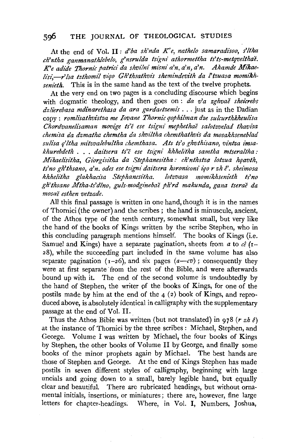#### **sg6 THE** JOURNAL OF THEOLOGICAL STUDIES

At the end of Vol. II: *d'ba sh'nda K'e, nathelo samaradisoo, s'ltha*  ch'ntha ganmanathlebelo, g'nsrulda tsigni athormettha ts'ts-metqvelthae. K'e adide Thornic patrici da shvilni misni a'n, a'n, a'n. Akamde Mikaelisi,-r'lsa tzthomil vigo Gh'thsathvis shemindevith da l'tzuasa momikh*senieth.* This is in the same hand as the text of the twelve prophets.

At the very end on two pages is a concluding discourse which begins with dogmatic theology, and then goes on: *da v'a zghvaě sheicrebs dzlierebasa mdinarethasa da ara gardaetzemis* ... just as in the Dadian copy : *romlz"sathvistza me Iovane Thornic qophilman dze sulcurthkheulisa Chordvanelisaman movige ts'e ese tsignz· mephethae salotzvelad thavi'sa chemz'sa da dzmatha chemtha da shviltha chemthathvz's da mosakhseneblad*  sulisa q'ltha mitzvalebultha chemthasa. Ats ts'o ghvthisano, vintza imsa*khurebdeth* ... *daz'tsera ts'c ese tsigni khhelz'tha samtha mlseraltha: Mikaelisitha, Giorgisitha da Stephanesitha: ch'nthstza lotzua haavth.* ts'no gh'thsano, a'n. odes ese tsigni daitsera koroniconi iqo r zh ê'. sheimosa<br>khhelitha glakhacisa Stephanesitha. lotzvasa momikhsenieth ts'no khhelitha glakhacisa Stephanesitha. *gh'thsano Mtha-ts'dlno, guls-modgz'nebae ph'rd makunda, gana tserae da nzosae esthen vetzade.* 

All this final passage is written in one hand, though it is in the names of Thornici (the owner) and the scribes; the hand is minuscule, ancient, of the Athos type of the tenth century, somewhat small, but very like the hand of the books of Kings written by the scribe Stephen, who in this concluding paragraph mentions himself. The books of Kings (i.e. Samuel and Kings) have a separate pagination, sheets from *a* to *ce* (1- 28), while the succeeding part included in the same volume has also separate pagination  $(1-26)$ , and six pages  $(a-cv)$ ; consequently they were at first separate from the rest of the Bible, and were afterwards bound up with it. The end of the second volume is undoubtedly by the hand of Stephen, the writer of the books of Kings, for one of the postils made by him at the end of the  $4$  (2) book of Kings, and reproduced above, is absolutely identical in calligraphy with the supplementary passage at the end of Vol. II.

Thus the Athos Bible was written (but not translated) in 978 ( $r$  *zh*  $\hat{e}$ ) at the instance of Thornici by the three scribes : Michael, Stephen, and George. Volume I was written by Michael, the four books of Kings by Stephen, the other books of Volume II by George, and finally some books of the minor prophets again by Michael. The best hands are those of Stephen and George. At the end of Kings Stephen has made postils in seven different styles of calligraphy, beginning with large uncials and going down to a small, barely legible hand, but equally clear and beautiful. There are rubricated headings, but without ornamental initials, insertions, or miniatures; there are, however, fine large letters for chapter-headings. Where, in Vol. I, Numbers, Joshua,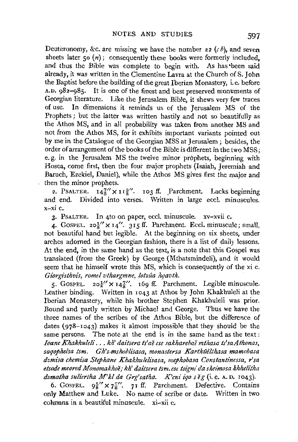Deuteronomy, &c. are missing we have the number 22 *(cb),* and seven sheets later  $50(n)$ ; consequently these books were formerly included, and thus the Bible was complete to begin with. As has •been said already, it was written in the Clementine Lavra at the Church of S. John the Baptist before the building of the great Iberian Monastery, i.e. before A.D. g82-985. It is one of the finest and best preserved monuments of Georgian literature. Like the Jerusalem Bible, it shews very few traces of use. In dimensions it reminds us of the Jerusalem MS of the Prophets ; but the latter was written hastily and not so beautifully as the Athos MS, and in all probability was taken from another MS and not from the Athos MS, for it exhibits important variants pointed out by me in the Catalogue of the Georgian MSS at Jerusalem; besides, the order of arrangement of the books of the Bible is different in the two MSS; e. g. in the Jerusalem MS the twelve minor prophets, beginning with Hosea, come first, then the four major prophets (Isaiah, Jeremiah and Baruch, Ezekiel, Daniel), while the Athos MS gives first the major and then the minor prophets.

2. PSALTER.  $14\frac{7}{8}$  x  $11\frac{3}{8}$ . 103 ff. Parchment. Lacks beginning and end. Divided into verses. Written in large eccl. minuscules. x-xi c.

3· PsALTER. In 4to on paper, eccl. minuscule. xv-xvii c.

4. GOSPEL. 20 $\frac{1}{6}$  x 14". 315 ff. Parchment. Eccl. minuscule; small, not beautiful hand but legible. At the beginning on six sheets, under arches adorned in the Georgian fashion, there is a list of daily lessons. At the end, in the same hand as the text, is a note that this Gospel was translated (from the Greek) by George (Mthatsmindeli), and it would seem that he himself wrote this MS, which is consequently of the xi c.  $Giore$ *isthvis, romel vthargmne, lotzûa hqavth.* 

5. GOSPEL.  $20\frac{1}{5}$   $\times$   $14\frac{7}{5}$ . 169 ff. Parchment. Legible minuscule. Leather binding. Written in 1043 at Athos by John Khakhuleli at the Iberian Monastery, while his brother Stephen Khakhuleli was prior. Bound and partly written by Michael and George. Thus we have the three names of the scribes of the Athos Bible, but the difference of dates (978-1043) makes it almost impossible that they should be the same persons. The note at the end is in the same hand as the text : *Ioane Khakhuleli .* .. *kh' daitsera ts'ae ese sakharebae mthasa ts'saAthonas,*  sagophelsa tsm. Gh's-mshoblisasa, monastersa Karthûêlthasa mamobasa *dzmisa chemisa Stephane Khakhulelisasa, mephobasa Constantinessa, rsa etsode meored Monomakhoe,· kh' daitsera tsm. ese tsigni da sheimosa khhelitha*  dzmatha suliertha M'kl da Grg'satha. K'cni iqo seg (i.e. A.D. 1043).

6. GOSPEL.  $9\frac{5}{8}$  x  $7\frac{7}{8}$ . 71 ff. Parchment. Defective. Contains only Matthew and Luke. No name of scribe or date. Written in two columns in a beautiful minuscule.  $xi - x$ ii c.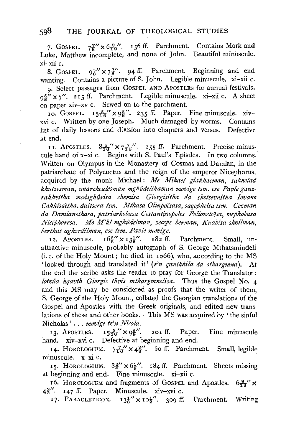7. GOSPEL.  $7\frac{7}{8}$   $\times$  6 $\frac{9}{19}$ . 156 ff. Parchment. Contains Mark and Luke, Matthew incomplete, and none of John. Beautiful minuscule. xi-xii c.

8. GospEL.  $95'' \times 7\frac{7}{8}$ . 94 ff. Parchment. Beginning and end wanting. Contains a picture of S. John. Legible minuscule. xi-xii c.

0. Select passages from GOSPEL AND APOSTLES for annual festivals.  $95'' \times 7''$ . 215 ff. Parchment. Legible minuscule. xi-xii c. A sheet on paper xiv-xv c. Sewed on to the parchment.

10. GOSPEL.  $15\frac{5}{16}$   $\times$   $9\frac{5}{8}$   $\cdot$  235 ff. Paper. Fine minuscule. xivxvi c. Written by one Joseph. Much damaged by worms. Contains list of daily lessons and division into chapters and verses. Defective at end.

11. APOSTLES.  $8\frac{5}{16}$   $\times$   $7\frac{7}{16}$   $\cdot$  255 ff. Parchment. Precise minuscule hand of x-xi c. Begins with S. Paul's Epistles. In two columns. Written on Olympus in the Monastery of Cosmas and Damian, in the patriarchate of Polyeuctus and the reign of the emperor Nicephorus, acquired by the monk Michael : *Me Mikael glakhacman, sakhelad*  khutzesman, unarcheulesman mghûdelthaman movige tsm. ese Pavle ganz*rakhvilha modsghun"sa chemisa Giorgz"silha da shelsevnilha Iovane Cakhisaetha. daitsera Ism. Mthasa Olinpoesasa, saqophelsa Ism. Cozman da Damianethasa, patn'arkobasa Costanlinopoles Poliovctoesa, mephobasa*  Niciphoresa. Me M'kl mghûdelman, zecepe berman, Kuabisa shvilman, *berthas aghzrdilman, ese tsm. Pavle movige.* 

12. APOSTLES.  $16\frac{5}{8}$   $\times$   $13\frac{1}{8}$ .  $182$  ff. Parchment. Small, unattractive minuscule, probably autograph of S. George Mthatsmindeli (i.e. of the Holy Mount; he died in Io66), who, according to the MS 'looked through and translated it' *(r'n ganikhila da slhargmna).* At the end the scribe asks the reader to pray for George the Translator : lotz*ûa hqavth Giorgis thvis mthargmnelisa*. Thus the Gospel No. 4 and this MS may be considered as proofs that the writer of them, S. George of the Holy Mount, collated the Georgian translations of the Gospel and Apostles with the Greek originals, and edited new translations of these and other books. · This MS was acquired by 'the sinful Nicholas' . . . *movige tz'n Nicola*.

13. APOSTLES.  $15\frac{5}{16}$   $\times$   $9\frac{5}{8}$   $\ldots$  201 ff. Paper. Fine minuscule hand. xiv-xvi c. Defective at beginning and end.

14. HOROLOGIUM.  $7\frac{7}{16}$   $\times$   $4\frac{3}{8}$  <sup>o</sup> 60 ff. Parchment. Small, legible minuscule. x-xi c.

15. HOROLOGIUM.  $8\frac{3}{4}$   $\times$   $6\frac{1}{8}$ . 184 ff. Parchment. Sheets missing at beginning and end. Fine minuscule. xi-xii c.

16. HOROLOGIUM and fragments of GOSPEL and Apostles.  $6\frac{9}{16}$  x  $4\frac{2}{3}$ . 147 ff. Paper. Minuscule. xiv-xvi c.

17. PARACLETICON.  $13\frac{1}{8}$  x  $10\frac{1}{2}$ . 309 ff. Parchment. Writing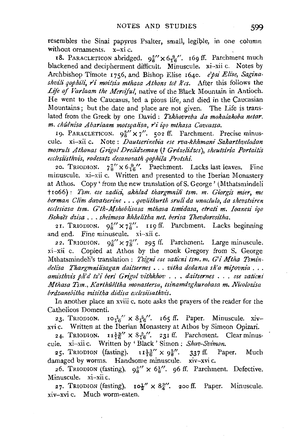resembles the Sinai papyrus Psalter, small, legible, in one column without ornaments. x-xi c.

18. PARACLETICON abridged.  $9\frac{5}{8}$   $\times$   $6\frac{9}{16}$ . 169 ff. Parchment much blackened and decipherment difficult. Minuscule. xi-xii c. Notes by Archbishop Timote 1756, and Bishop Elise 1640. *e'psi Elise, Sagina*shvili gophili, r'i moitsia mthasa Athons tcê Rcs. After this follows the *Life of Varlaam the Merciful,* native of the Black Mountain in Antioch. He went to the Caucasus, led a pious life, and died in the Caucasian Mountains; but the date and place are not given. The Life is translated from the Greek by one David : *Tzkhovreba da mokalakoba netar. m. chuenisa Abarlaam motsqalisa, r'i iqo mthasa Cavcassa.* 

19. PARACLETICON.  $9\frac{5}{6}$  X 7". 502 ff. Parchment. Precise minuscule. xi-xii c. Note: *Dautserinebia ese rva-khhmani Sakarthvelodan mosruls Athonas Grigol Drelidzeman* (? *Grdzelidzes), sheutsiria Portaitis ecclesiisthvt's, rodesatz decanozath qophz'la Protshi.* 

20. TRIODION.  $7\frac{7}{8}$   $\times$  6 $\frac{9}{16}$ . Parchment. Lacks last leaves. Fine minuscule. xi-xii c. Written and presented to the Iberian Monastery at Athos. Copy' from the new translation ofS. George' (Mthatsmindeli t1o66): *Tsm. ese zadici, akhlad thargmnili Ism. m. Giorgi's mier, me berman Clim davatserine* ... *qovlithurth sruli da unaclulo, da shevstsiren ecclesiasa Ism. G'th-Mshoblisasa mthasa tsmidasa, etrati m. Ioanesi iqo Bekaes dzisa* ... *sheimosa khhelitha net. ben'sa Thevdoresitha.* 

21. TRIODION.  $9\frac{5}{8}$   $\times$   $7\frac{7}{8}$ . 119 ff. Parchment. Lacks beginning and end. Fine minuscule. xi-xii c.

22. TRIODION.  $9^{5'}_8 \times 7^{7'}_8$ . 295 ff. Parchment. Large minuscule. xi-xii c. Copied at Athos by the monk Gregory from S. George Mthatsmindeli's translation : *Tsigni ese zaticni tsm. m. G'i Mtha Tsmindelisa Thargmnilisagan daitsernes* •.. *vitha dedansa sh'a mipovnia* ... *amz'sthvis ph'd tz'i beri Grigol vithkhov* ..• *daitsernes* ... *ese zaticni Mthasa Tsm., Karthûêltha monastersa, tsinamdzghurobasa m. Nicolozisa brdzanebitha mz'sitha didisa ecclesiisathvis.* 

In another place an xviii c. note asks the prayers of the reader for the Catholicos Domenti.

23. TRIODION.  $10^{-1}$   $\times$   $8\frac{5}{16}$ . 165 ff. Paper. Minuscule. xivxvl c. Written at the Iberian Monastery at Athos by Simeon Opizari.

24. TRIODION.  $I1\frac{13}{16}$ "  $\times$   $8\frac{5}{16}$ ". 231 ff. Parchment. Clear minuscule. xi-xii c. Written by ' Black' Simon : *Shav-Svimon.* 

25. TRIODION (fasting).  $\mathbb{1} \frac{13''}{16} \times 9\frac{5''}{8}$ . 337 ff. Paper. Much damaged by worms. Handsome minuscule. xiv-xvi c.

26. TRIODION (fasting).  $9\frac{5}{8}$   $\times$  6 $\frac{1}{8}$ . 96 ff. Parchment. Defective. Minuscule. xi-xii c.

27. TRIODION (fasting).  $\text{IO}_{2}^{1} \times 8_{2}^{3}$ ". 200 ff. Paper. Minuscule. xiv-xvi c. Much worm-eaten.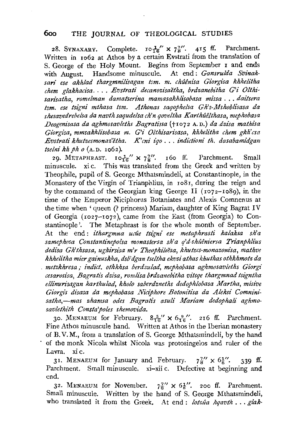## 600 THE JOURNAL OF THEOLOGICAL STUDIES

28. SYNAXARY. Complete.  $I \circ \frac{1}{16}$   $\times$   $7\frac{7}{8}$ . 415 ff. Parchment. Written in 1062 at Athos by a certain Evstrati from the translation of S. George of the Holy Mount. Begins from September 1 and ends with August. Handsome minuscule. At end : *Gansrulda Svinak*sari ese akhlad thargmnilisagan tsm. m. chûênisa Giorgisa khhelitha chem glakhacisa.... Evstrati decanozisaetha, brdzanebitha G'i Olthi*sarisatha, romelman damatserina mamasakhli'sobasa missa* ... *daitsera tsm. ese tsigni mthasa Ism. Athonas saqophelsa Gh's-Mshoblisasa da shesavedrebelsa da navth saqudelsa ch'n qoveltha Karthtlelthasa, mephobasa Deogenisasa da aghmosavleths Bagratissa* (tro72 A. D.) *da dzisa mathi'sa Giorgisa, mmsakhlisobasa m. G'i Olthisarisasa, khhelitha chem gkh'csa Evstrati khutzesmonaz'etha. K'cni iqo .* .. *indiction£ th. dasabamz"dgatt tselni khph o* (A.D. ro62).

29. METAPHRAST.  $I_0^1$  ×  $7^7$ . 160 ff. Parchment. Small minuscule. xi c. This was translated from the Greek and written by Theophile, pupil of S. George Mthatsmindeli, at Constantinople, in the Monastery of the Virgin of Trianphlius, in ro8r, during the reign and by the command of the Georgian king George II ( $1072-1089$ ), in the time of the Emperor Niciphorus Botaniates and Alexis Comnenus at the time when 'queen (? princess) Mariam, daughter of King Bagrat IV of Georgia (ro27-I072), came from the East (from Georgia) to Constantinople'. The Metaphrast is for the whole month of September. At the end: *ithargmna ucue tsigni ese metaphrasti kalaksa sh'a*  samephosa Constantinepolsa monastersa sh'a q'd-shûêniersa Trianphlius *dedisa Gh'thsasa, ughirsisa m'r Theophileesa, khutzes-monazoni'sa, mathve khhelitha mier gainuskha, dsb' dgan tseltha ekvsi at has khuthas othkhmotz da*  . *metzkhresa* / *indict. othkhsa berdzulad, mephobasa aghmosavleths Giorgi cesarosisa, Bagrati's dzi'sa, romlisa brdzanebitha vitsqe thargmnad tsigntha*   $ellinurisagan$  karthulad, kholo saberdzneths dedophlobasa Martha, misive *Giorgis disasa da mephobasa Niciphore Botonitisa da Aleksi Comninisatha,-mas zhamsa odes Bagratis asuli Mariam dedophali aghmosavlethith Consta'poles shemovida.* 

30. MENAEUM for February.  $8\frac{5}{16}$   $\times$   $6\frac{9}{16}$ ". 216 ff. Parchment. Fine Athos minuscule hand. Written at Athos in the Iberian monastery of B. V. M., from a translation of S. George Mthatsmindeli, by the hand of the monk Nicola whilst Nicola was protosingelos and ruler of the Lavra. xi c.

31. MENAEUM for January and February.  $7\frac{7}{8}$   $\times$   $6\frac{1}{8}$ ". 339 ff. Parchment. Small minuscule. xi-xii c. Defective at beginning and end.

32. MENAEUM for November.  $7\frac{7}{8}$   $\times$  6 $\frac{1}{8}$  $\cdot$  200 ff. Parchment. Small minuscule. Written by the hand of S. George Mthatsmindeli, who translated it from the Greek. At end: *lotzûa hqavth* ... *glak*-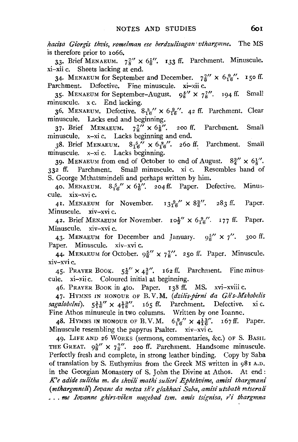*hacisa Giorgis thvis, romelman ese berdzulisagan* ' *vthargmne.* The MS is therefore prior to 1066.

33. Brief MENAEUM.  $7\frac{7}{8}$   $\times$   $6\frac{1}{8}$ . 133 ff. Parchment. Minuscule. xi-xii c. Sheets lacking at end.

34. MENAEUM for September and December.  $7\frac{7}{6}$   $\times$  6 $\frac{9}{16}$ . 150 ff. Parchment. Defective. Fine minuscule. xi-xii c.

35. MENAEUM for September-August.  $9\frac{5}{8}$   $\times$   $7\frac{7}{8}$ . 194 ff. Small minuscule. x c. End lacking.

36. MENAEUM. Defective.  $8\frac{5}{16}$ "  $\times$   $6\frac{9}{16}$ ". 42 ff. Parchment. Clear minuscule. Lacks end and beginning.

37. Brief MENAEUM.  $7\frac{7}{8}$   $\times$  6<sup>1</sup>/<sub>2</sub>. 200 ff. Parchment. Small minuscule. x-xi c. Lacks beginning and end.

38. Brief MENAEUM.  $8\frac{5}{16}$   $\times$   $6\frac{9}{16}$ . 260 ff. Parchment. Small minuscule. x-xi c. Lacks beginning.

39. MENAEUM from end of October to end of August.  $8\frac{3}{4}$   $\times$   $6\frac{1}{8}$ . 332 ff. Parchment. Small minuscule. xi c. Resembles hand of S. George Mthatsmindeli and perhaps written by him.

40. MENAEUM.  $8\frac{5}{16}$   $\times$   $6\frac{1}{6}$ . 204 ff. Paper. Defective. Minuscule. xix-xvi c.

41. MENAEUM for November.  $13\frac{9}{16}$   $\times$  8 $\frac{3}{4}$ . 283 ff. Paper. Minuscule. xiv-xvi c.

42. Brief MENAEUM for November.  $I \circ \frac{1}{2}$   $\times$   $6\frac{9}{16}$ . 177 ff. Paper. Minuscule. xiv-xvi c.

43. MENAEUM for December and January.  $9\frac{5}{8}$   $\times$  7''. 300 ff. Paper. Minuscule. xiv-xvi c.

44. MENAEUM for October.  $9\frac{5}{8}$   $\times$   $7\frac{7}{8}$ . 250 ff. Paper. Minuscule. xiv-xvi c.

45. PRAYER BOOK.  $5\frac{1}{4}$   $\times$   $4\frac{3}{8}$   $\cdot$  162 ff. Parchment. Fine minuscule. xi-xii c. Coloured initial at beginning.

46. PRAYER BOOK in 4to. Paper. 138 ff. MS. xvi-xviii c.

47· HYMNS IN HONOUR OF B. V.M. *(dzz'li's-pirnz' da Gh's-Mshobelz's*   $sagalobelni$ .  $5\frac{11}{16}$   $\times$   $4\frac{13}{6}$ . 165 ff. Parchment. Defective. xi c. Fine Athos minuscule in two columns. Written by one Ioanne.

48. HYMNS IN HONOUR OF B.V.M.  $6\frac{9}{16}$   $\times$   $4\frac{13}{16}$ . 167 ff. Paper. Minuscule resembling the papyrus Psalter. xiv-xvi c.

49· LIFE AND 26 WoRKS (sermons, commentaries, &c.) OF S. BASIL THE GREAT.  $9\frac{5}{8}$   $\times$   $7\frac{7}{8}$ . 200 ff. Parchment. Handsome minuscule. Perfectly fresh and complete, in strong leather binding. Copy by Saba of translation by S. Euthymius from the Greek MS written in 981 A.D. in the Georgian Monastery of S. John the Divine at Athos. At end: *K'e adide sulitha m. da shvili mathi sulieri Ephthvime, amisi thargmani (mthargmnelz) Iovane da metza sh'e glakhaci Saba, ami'si utzbath mtserali*  ... me Iovanne ghirs-viken mogebad tsm. amis tsignisa, r'i thargmna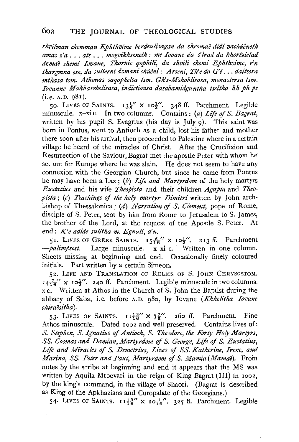*shvilman chemman Ephthvime berdzulisagan da shromae didi vachueneth a mas z' a* . . . *ats* . . . *mogvi'khseneth : me Iovane da s' lrad da khortzi'elad dzmae chemi Iovane, Thornic qophi'li', da shvili chemi Ephthvime, r'n thargmna ese, da sulierni dzmani ch1Uni: Arseni, Th'e da G'i ... daitsera mthasa tsm. Athonas saqophelsa Ism. Gh's-Mshoblisasa, monastersa tsm. Iovanne Makharebelisasa, indictionsa dasabamidgantha tseltha kh ph pe*   $(i.e. A.D. 981).$ 

50. LIVES OF SAINTS.  $13\frac{1}{8}$  X  $10\frac{1}{2}$ . 348 ff. Parchment. Legible minuscule. x-xi c. In two columns. Contains: (a) *Life of S. Bagrat,*  written by his pupil S. Evagrius (his day is July  $\alpha$ ). This saint was born in Pontus, went to Antioch as a child, lost his father and mother there soon after his arrival, then proceeded to Palestine where in a certain village he heard of the miracles of Christ. After the Crucifixion and Resurrection of the Saviour, Bagrat met the apostle Peter with whom he set out for Europe where he was slain. He does not seem to have any connexion with the Georgian Church, but since he came from Pontus he may have been a Laz; (b) *Life and Martyrdom* of the holy martyrs *Eustatius* and his wife *Theopista* and their children *Agapia* and *Theopista;* (c) *Teachings* of *the holy martyr Dimitri* written by John archbishop of Thessalonica; (d) *Narration of S. Clement,* pope of Rome, disciple of S. Peter, sent by him from Rome to Jerusalem to S. James, the brother of the Lord, at the request of the Apostle S. Peter. At end: *K'e adide sulitha m. Egnati, a'n.* 

51. LIVES OF GREEK SAINTS.  $15\frac{5}{16}$   $\times$   $10\frac{1}{2}$ . 213 ff. Parchment  $-palimpsest$ . Large minuscule. x-xi c. Written in one column. Sheets missing at beginning and end. Occasionally finely coloured initials. Part written by a certain Simeon.

52. LIFE AND TRANSLATION OF RELICS OF S. JOHN CHRYSOSTOM.  $I4\frac{7}{16}$  ×  $I0\frac{1}{2}$   $\ldots$  240 ff. Parchment. Legible minuscule in two columns. x c. Written at Athos in the Church of S. John the Baptist during the abbacy of Saba, i.e. before A.D. 98o, by Iovane *(Khhelitha Iovane chiraesitha* ).

53. LIVES OF SAINTS.  $11\frac{13}{6}$   $\times$   $7\frac{7}{6}$ . 260 ff. Parchment. Fine Athos minuscule. Dated Iooz and well preserved. Contains lives of: *S. Stephen, S. Ignatius of Antioch, S. Theodore, the Forty Holy Martyrs, SS. Cosmas and Damian, Martyrdom* of *S. George, Life* of *S. Eustatius,*  Life and Miracles of *S. Demetrius, Lives of SS. Katherine, Irene, and Marina, SS. Peter and Paul, Martyrdom of S. Mamia (Mamae).* From notes by the scribe at beginning and end it appears that the MS was written by Aquila Mtbevari in the reign of King Bagrat (III) in I002, by the king's command, in the village of Shaori. (Bagrat is described as King of the Apkhazians and Curopalate of the Georgians.)

54. LIVES OF SAINTS.  $I1\frac{13}{16}$  x  $I0\frac{1}{16}$ ,  $327$  ff. Parchment. Legible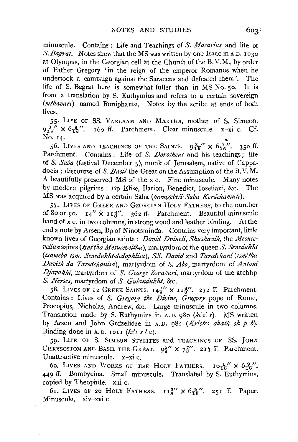minuscule. Contains: Life and Teachings of *S. Macarius* and life of *S. Bagrat.* Notes shew that the MS was written by one Isaac in A.D. 1030 at Olympus, in the Georgian cell at the Church of the B. V. M., by order of Father Gregory 'in the reign of the emperor Romanos when he undertook a campaign against the Saracens and defeated them'. The life of S. Bagrat here is somewhat fuller than in MS No. so. It is from a translation by S. Euthymius and refers to a certain sovereign *(mthavan)* named Boniphante. Notes by the scribe at ends of both lives.

55· LIFE OF SS. VARLAAM AND MARTHA, mother of S. Simeon.  $9\frac{3}{16}$ "  $\times$   $6\frac{9}{16}$ ". 160 ff. Parchment. Clear minuscule. x-xi c. Cf.<br>No. 14. No. 14.

56. Lives and teachings of the Saints.  $9\frac{3}{16}$ " x  $6\frac{9}{16}$ ". 350 ff. Parchment. Contains : Life of *S. Dorotheus* and his teachings : life of *S. Saba* (festival December 5), monk of Jerusalem, native of Cappadocia; discourse of *S. Basil* the Great on the Assumption of the B.V.M. A beautifully preserved MS of the x c. Fine minuscule. Many notes by modern pilgrims *:* Bp Elise, Ilarion, Benedict, Ioseliani, &c. The MS was acquired by a certain Saba *(momgebeli- Saba Kerdchamulz').* 

57· LIVES OF GREEK AND GEORGIAN HoLY FATHERS, to the number of 80 or 90.  $I_4'' \times I_4^2''$ . 362 ff. Parchment. Beautiful minuscule hand of x c. in two columns, in strong wood and leather binding. At the end a note by Arsen, Bp of Ninotsminda. Contains very important, little known lives of Georgian saints *: David Dvineli, Shushanik,* the *Mesucevelian* saints *(tsm'tha Mesuceveltha)*, martyrdom of the queen S. Senedukht *(tsameba tsm. Senedukht-dedophli'sa), SS. David* and *Taredchani(tsm'tha Davith da Taredchanisa),* martyrdom of *S. Abo,* martyrdom of *Antoni*  Djavakhi, martyrdom of *S. George Zoravari*, martyrdom of the archbp *S. Nerses,* martyrdom of *S. Gulandukht,* &c.

58. LIVES OF 12 GREEK SAINTS.  $14\frac{7}{8}$   $\times$   $11\frac{3}{8}$  $\cdot$ . 272 ff. Parchment. Contains *:* Lives of *S. Gregory the Divine, Gregory* pope of Rome, Procopius, Nicholas, Andrew, &c. Large minuscule in two columns. Translation made by S. Euthymius in A.D. g8o *(kc'r:* s). MS written by Arsen and John Grdzelidze in A. D. 982 *(Kristes akath sh p* b). Binding done in A.D. 1011 ( $k \, \text{c}$ s s l a).

59· LIFE OF S. SIMEON STYLITES and TEACHINGS OF SS. JOHN CHRYSOSTOM AND BASIL THE GREAT.  $9\frac{5}{8}$   $\times$   $7\frac{7}{8}$ . 217 ff. Parchment. Unattractive minuscule. x-xi c.

60. LIVES AND WORKS OF THE HOLY FATHERS.  $I_0\frac{1}{16}$   $\times$   $6\frac{9}{16}$ . 449 ff. Bombycina. Small minuscule. Translated by S. Euthymius, copied by Theophile. xiii c.

61. LIVES OF 20 HOLY FATHERS.  $II^{\frac{3}{2}}$   $\times$  6 $\frac{9}{16}$ . 251 ff. Paper. Minuscule. xiv-xvi c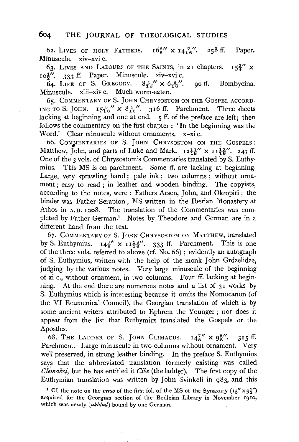### **604** THE JOURNAL OF THEOLOGICAL STUDIES

62. LIVES OF HOLY FATHERS.  $16\frac{5}{8}$  X  $14\frac{7}{16}$ '. 258 ff. Paper. Minuscule. xiv-xvi c.

63. LIVES AND LABOURS OF THE SAINTS, in 21 chapters.  $I_5\frac{3}{4}$   $\times$  $10\frac{1}{2}$ . 333 ff. Paper. Minuscule. xiv-xvi c.

64. LIFE OF S. GREGORY.  $8\frac{5}{16}$   $\times$  6 $\frac{9}{16}$ ". go ff. Bombycina. Minuscule. xiii-xiv c. Much worm-eaten.

65. CoMMENTARY oF S. JoHN CHRYsosToM oN THE GosPEL AccoRD-ING TO S. JOHN.  $15\frac{5}{16}$   $\times$   $8\frac{5}{16}$ , 316 ff. Parchment. Three sheets lacking at beginning and one at end. 5 ff. of the preface are left; then follows the commentary on the first chapter : ' In the beginning was the Word.' Clear minuscule without ornaments. x-xi c.

66. CoMJiENTARIES OF S. JoHN CHRYsosToM ON THE GosPELS: Matthew, John, and parts of Luke and Mark.  $12\frac{11}{6}$   $\times$   $11\frac{13}{6}$ , 247 ff. One of the 3 vols. of Chrysostom's Commentaries translated by S. Euthymius. This MS is on parchment. Some ff. are lacking at beginning. Large, very sprawling hand; pale ink; two columns; without ornament ; easy to read ; in leather and wooden binding. The copyists, according to the notes, were : Fathers Arsen, John, and Okropiri ; the binder was Father Serapion ; MS written in the Iberian Monastery at Athos in A.D. Ioo8. The translation of the Commentaries was completed by Father German.<sup>1</sup> Notes by Theodore and German are in a different hand from the text.

67. COMMENTARY OF S. JOHN CHRYSOSTOM ON MATTHEW, translated by S. Euthymius.  $I4\frac{7}{8}$   $\times$   $I1\frac{13}{8}$ , 333 ff. Parchment. This is one of the three vols. referred to above (cf. No. 66); evidently an autograph of S. Euthymius, written with the help of the monk John Grdzelidze, judging by the various notes. Very large minuscule of the beginning of xi c., without ornament, in two columns. Four ff. lacking at beginning. At the end there are numerous notes and a list of 31 works by S. Euthymius which is interesting because it omits the Nomocanon (of the VI Ecumenical Council), the Georgian translation of which is by some ancient writers attributed to Ephrem the Younger ; nor does it appear from the list that Euthymius translated the Gospels or the Apostles.

68. THE LADDER OF S. JOHN CLIMACUS.  $I_4\frac{7}{8}$   $\times$  9<sup>5</sup>/. 315 ff. Parchment. Large minuscule in two columns without ornament. Very well preserved, in strong leather binding. In the preface S. Euthymius says that the abbreviated translation formerly existing was called *Clemaksi*, but he has entitled it *Cibe* (the ladder). The first copy of the Euthymian translation was written by John Svinkeli in 983, and this

<sup>&</sup>lt;sup>1</sup> Cf. the note on the *verso* of the first fol. of the MS of the Synaxary  $(15'' \times 9\frac{1}{2})$ acquired for the Georgian section of the Bodleian Library in November 1910, which was newly *(akhlad)* bound by one German.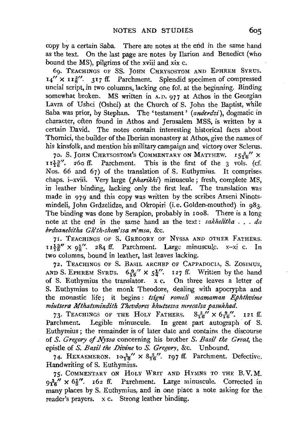copy by a certain Saba. There are notes at the end in the same hand as the text. On the last page are notes by Ilarion and Benedict (who bound the MS), pilgrims of the xviii and xix c.

69. TEACHINGS OF SS. JOHN CHRYSOSTOM AND EPHREM SYRUS.  $14'' \times 11\frac{3}{6}$ . 317 ff. Parchment. Splendid specimen of compressed uncial script, in two columns, lacking one fol. at the beginning. Binding somewhat broken. MS written in A.D. 977 at Athos in the Georgian Lavra of Ushci (Oshci) at the Church of S. John the Baptist, while Saba was prior, by Stephan. The 'testament' *(anderdzi),* dogmatic in character, often found in Athos and Jerusalem MSS, is written by a certain David. The notes contain interesting historical facts about Thomici, the builder of the Iberian monastery at Athos, give the names of his kinsfolk, and mention his military campaign and victory over Sclerus.

70. S. JOHN CHRYSOSTOM'S COMMENTARY ON MATTHEW.  $I5\frac{5}{16}$  X  $II^{\frac{13}{2}}$ . 260 ff. Parchment. This is the first of the 3 vols. (cf. Nos. 66 and 67) of the translation of S. Euthymius. It comprises chaps. i-xviii. Very large (*pharikhi*) minuscule; fresh, complete MS, in leather binding, lacking only the first leaf. The translation was made in 979 and this copy was written by the scribes Arseni Ninotsmindeli, John Grdzelidze, and Okropiri (i.e. Golden-mouthed) in 983. The binding was done by Serapion, probably in roo8. There is a long note at the end in the same hand as the text : *sakhelitha* . . . *da brdzanebitha Gh'th-shem'ssa m'msa,* &c.

71. TEACHINGS OF S. GREGORY OF NYSSA AND OTHER FATHERS.  $r_1 = \frac{13}{8}$  x  $q_2 = \frac{5}{8}$ . 284 ff. Parchment. Large minuscule. x-xi c. In two columns, bound in leather, last leaves lacking.

72. TEACHINGS OF S. BASIL ARCHBP OF CAPPADOCIA, S. ZOSIMUS, AND S. EPHREM SYRUS.  $6\frac{9}{16}$   $\times$   $5\frac{1}{4}$ . 127 ff. Written by the hand of S. Euthymius the translator. x c. On three leaves a letter of S. Euthymius to the monk Theodore, dealing with apocrypha and the monastic life; it begins : *tsigni romeli mamaman Ephthvime miutsera Mthatsmindith Thevdores khutzessa mrecalsa pasukhad.* 

73. TEACHINGS OF THE HOLY FATHERS.  $8\frac{5}{16}$  X  $6\frac{9}{16}$ . 121 ff. Parchment. Legible minuscule. In great part autograph of S. Euthymius ; the remainder is of later date and contains the discourse of *S. Gregory of Nyssa* concerning his brother *S. Basil the Great,* the epistle of *S. Basil the Divine* to *S. Gregory,* &c. Unbound.

74. HEXAEMERON.  $10\frac{1}{16}$   $\times$   $8\frac{5}{16}$  $\%$ . 197 ff. Parchment. Defective. Handwriting of S. Euthymius.

75· CoMMENTARY oN HoLY WRIT AND HYMNS TO THE B.V.M.  $9\frac{3}{16}$  x  $6\frac{1}{8}$ . 162 ff. Parchment. Large minuscule. Corrected in many places by S. Euthymius, and in one place a note asking for the reader's prayers. x c. Strong leather binding.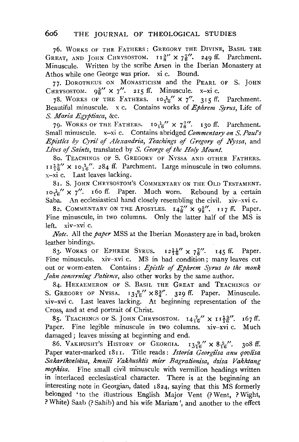76. WORKS OF THE FATHERS: GREGORY THE DIVINE, BASIL THE GREAT, AND JOHN CHRYSOSTOM.  $I_8^3$   $\times$   $7\frac{7}{8}$ . 249 ff. Parchment. Minuscule. Written by the scribe Arsen in the Iberian Monastery at Athos while one George was prior. xi c. Bound.

77· DoROTHEUS ON MONASTICISM and the PEARL OF S. JOHN CHRYSOSTOM.  $9\frac{5}{6}$   $\times$  7''. 215 ff. Minuscule. x-xi c.

78. WORKS OF THE FATHERS.  $10\frac{1}{16}$  X 7''. 315 ff. Parchment. Beautiful minuscule. x c. Contains works of *Ephrem Syrus*, Life of *S. Maria Egyptiaca,* &c.

79. WORKS OF THE FATHERS.  $I \circ \frac{1}{2}$   $\times$   $7\frac{7}{8}$ . 130 ff. Parchment. Small minuscule. x-xi c. Contains abridged *Commentary on S. Paul's Epistles by Cyril of Alexandria, Teachings of Gregory of Nyssa, and Lives of Saints,* translated by *S. George of the Holy Mount.* 

8o. TEACHINGS OF S. GREGORY OF NYSSA AND OTHER FATHERS.  $r I_{\overline{5}}^{13''}$  ×  $r o_{16}^{17''}$ . 284 ff. Parchment. Large minuscule in two columns. x-xi c. Last leaves lacking.

8r. S. JOHN CHRYSOSTOM'S COMMENTARY ON THE OLD TESTAMENT.  $I_0$ <sup>1</sup>/' x 7''. I fo ff. Paper. Much worn. Rebound by a certain Saba. An ecclesiastical hand closely resembling the civil. xiv-xvi c.

82. COMMENTARY ON THE APOSTLES.  $I4\frac{7}{8}$   $\times$  9<sup>5</sup>'. II7 ff. Paper. Fine minuscule, in two columns. Only the latter half of the MS is left. xiv-xvi c.

*Note.* All the *paper* MSS at the Iberian Monastery are in bad, broken leather bindings.

83. WORKS OF EPHREM SYRUS.  $12\frac{11}{16}$   $\times$   $7\frac{7}{8}$ . 145 ff. Paper. Fine minuscule. xiv-xvi c. MS in bad condition; many leaves cut out or worm-eaten. Contains : *Epistle of Ephrem Syrus to the monk John concerning Patience,* also other works by the same author.

84. HEXAEMERON OF S. BASIL THE GREAT and TEACHINGS OF S. GREGORY OF NYSSA.  $13\frac{9}{16}$   $\times 8\frac{3}{4}$ . 329 ff. Paper. Minuscule. xiv-xvi c. Last leaves lacking. At beginning representation of the Cross, and at end portrait of Christ.

85. TEACHINGS OF S. JOHN CHRYSOSTOM.  $14\frac{7}{16}$  X  $11\frac{13}{16}$ . 167 ff. Paper. Fine legible minuscule in two columns. xiv-xvi c. Much damaged; leaves missing at beginning and end.

86. VAKHUSHT'S HISTORY OF GEORGIA.  $13\frac{9}{16}$ " x  $8\frac{5}{16}$ ". 308 ff. Paper water-marked 1811. Title reads: Istoria Georgiisa anu qovlisa Sakarthveloesa, kmnili Vakhushtis mier Bagrationisa, dzisa Vakhtang *mephisa.* Fine small civil minuscule with vermilion headings written in interlaced ecclesiastical character. There is at the beginning an interesting note in Georgian, dated 1824, saying that this MS formerly belonged 'to the illustrious English Major Vent (?Went, ? Wight, ? White) Saab (?Sahib) and his wife Mariam', and another to the effect